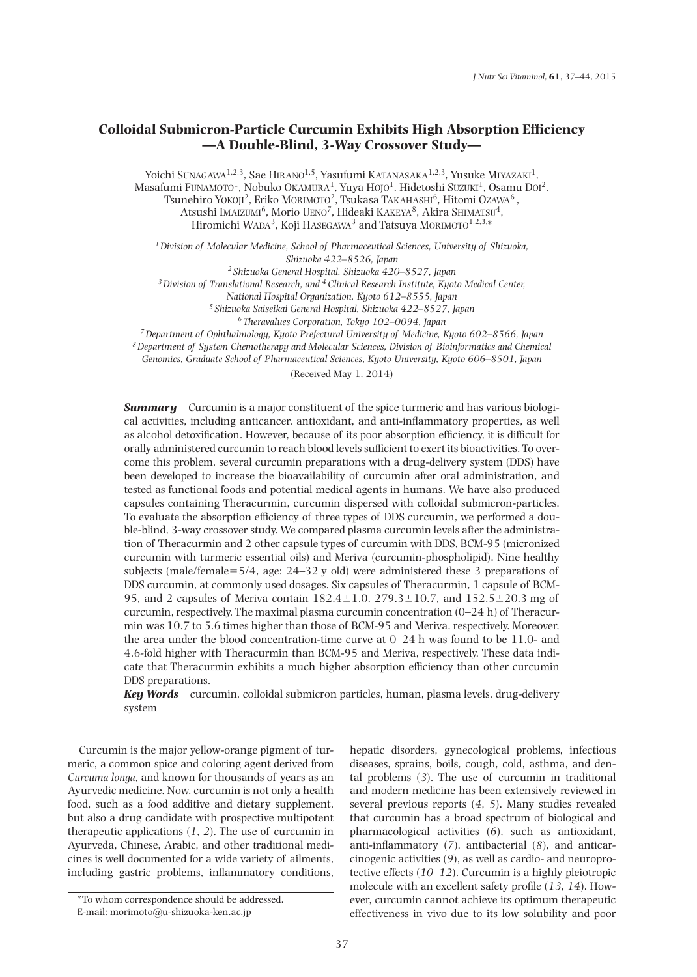# **Colloidal Submicron-Particle Curcumin Exhibits High Absorption Efficiency —A Double-Blind, 3-Way Crossover Study—**

Yoichi SUNAGAWA<sup>1,2,3</sup>, Sae HIRANO<sup>1,5</sup>, Yasufumi KATANASAKA<sup>1,2,3</sup>, Yusuke MIYAZAKI<sup>1</sup>, Masafumi FUNAMOTO<sup>1</sup>, Nobuko OKAMURA<sup>1</sup>, Yuya HOJO<sup>1</sup>, Hidetoshi SUZUKI<sup>1</sup>, Osamu DOI<sup>2</sup>, Tsunehiro YOKOJI<sup>2</sup>, Eriko MORIMOTO<sup>2</sup>, Tsukasa TAKAHASHI<sup>6</sup>, Hitomi OZAWA<sup>6</sup>, Atsushi IMAIZUMI<sup>6</sup>, Morio UENO<sup>7</sup>, Hideaki KAKEYA<sup>8</sup>, Akira SHIMATSU<sup>4</sup>, Hiromichi WADA<sup>3</sup>, Koji HASEGAWA<sup>3</sup> and Tatsuya MORIMOTO<sup>1,2,3,\*</sup>

*1 Division of Molecular Medicine, School of Pharmaceutical Sciences, University of Shizuoka,* 

*Shizuoka 422–8526, Japan*

*2 Shizuoka General Hospital, Shizuoka 420–8527, Japan*

*3 Division of Translational Research, and 4 Clinical Research Institute, Kyoto Medical Center,* 

*National Hospital Organization, Kyoto 612–8555, Japan*

*5 Shizuoka Saiseikai General Hospital, Shizuoka 422–8527, Japan*

*6 Theravalues Corporation, Tokyo 102–0094, Japan*

*7 Department of Ophthalmology, Kyoto Prefectural University of Medicine, Kyoto 602–8566, Japan*

*8 Department of System Chemotherapy and Molecular Sciences, Division of Bioinformatics and Chemical* 

*Genomics, Graduate School of Pharmaceutical Sciences, Kyoto University, Kyoto 606–8501, Japan*

(Received May 1, 2014)

**Summary** Curcumin is a major constituent of the spice turmeric and has various biological activities, including anticancer, antioxidant, and anti-inflammatory properties, as well as alcohol detoxification. However, because of its poor absorption efficiency, it is difficult for orally administered curcumin to reach blood levels sufficient to exert its bioactivities. To overcome this problem, several curcumin preparations with a drug-delivery system (DDS) have been developed to increase the bioavailability of curcumin after oral administration, and tested as functional foods and potential medical agents in humans. We have also produced capsules containing Theracurmin, curcumin dispersed with colloidal submicron-particles. To evaluate the absorption efficiency of three types of DDS curcumin, we performed a double-blind, 3-way crossover study. We compared plasma curcumin levels after the administration of Theracurmin and 2 other capsule types of curcumin with DDS, BCM-95 (micronized curcumin with turmeric essential oils) and Meriva (curcumin-phospholipid). Nine healthy subjects (male/female=5/4, age:  $24-32$  y old) were administered these 3 preparations of DDS curcumin, at commonly used dosages. Six capsules of Theracurmin, 1 capsule of BCM-95, and 2 capsules of Meriva contain  $182.4 \pm 1.0$ ,  $279.3 \pm 10.7$ , and  $152.5 \pm 20.3$  mg of curcumin, respectively. The maximal plasma curcumin concentration  $(0-24 h)$  of Theracurmin was 10.7 to 5.6 times higher than those of BCM-95 and Meriva, respectively. Moreover, the area under the blood concentration-time curve at 0–24 h was found to be 11.0- and 4.6-fold higher with Theracurmin than BCM-95 and Meriva, respectively. These data indicate that Theracurmin exhibits a much higher absorption efficiency than other curcumin DDS preparations.

*Key Words* curcumin, colloidal submicron particles, human, plasma levels, drug-delivery system

Curcumin is the major yellow-orange pigment of turmeric, a common spice and coloring agent derived from *Curcuma longa*, and known for thousands of years as an Ayurvedic medicine. Now, curcumin is not only a health food, such as a food additive and dietary supplement, but also a drug candidate with prospective multipotent therapeutic applications (*1*, *2*). The use of curcumin in Ayurveda, Chinese, Arabic, and other traditional medicines is well documented for a wide variety of ailments, including gastric problems, inflammatory conditions, hepatic disorders, gynecological problems, infectious diseases, sprains, boils, cough, cold, asthma, and dental problems (*3*). The use of curcumin in traditional and modern medicine has been extensively reviewed in several previous reports (*4*, *5*). Many studies revealed that curcumin has a broad spectrum of biological and pharmacological activities (*6*), such as antioxidant, anti-inflammatory  $(7)$ , antibacterial  $(8)$ , and anticarcinogenic activities (*9*), as well as cardio- and neuroprotective effects (*10*–*12*). Curcumin is a highly pleiotropic molecule with an excellent safety profile (13, 14). However, curcumin cannot achieve its optimum therapeutic effectiveness in vivo due to its low solubility and poor

<sup>\*</sup>To whom correspondence should be addressed. E-mail: morimoto@u-shizuoka-ken.ac.jp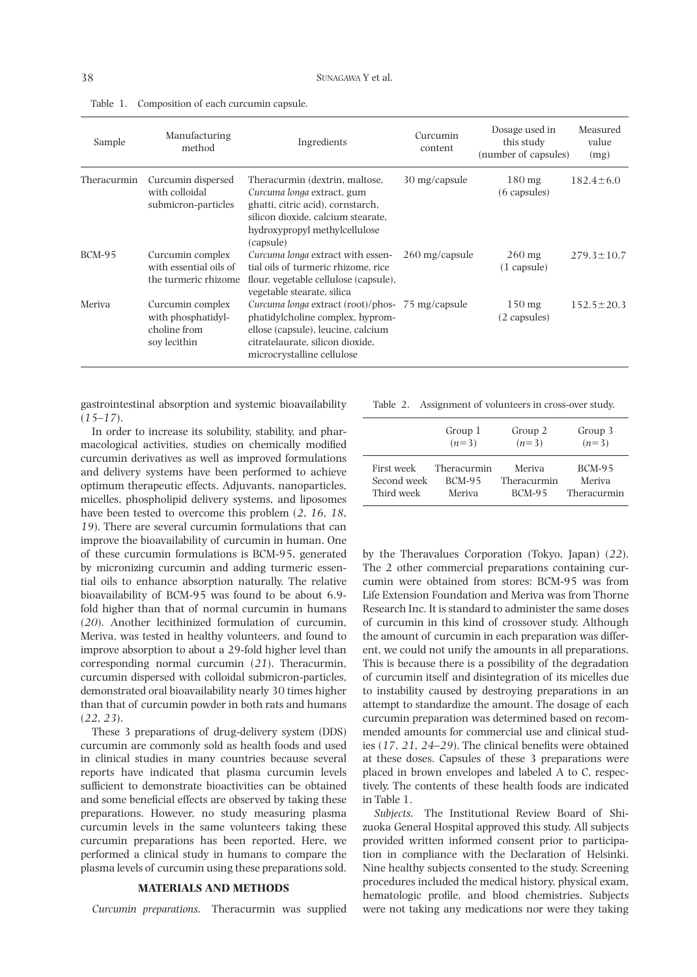| Sample      | Manufacturing<br>method                                                | Ingredients                                                                                                                                                                                  | Curcumin<br>content | Dosage used in<br>this study<br>(number of capsules) | Measured<br>value<br>(mg) |
|-------------|------------------------------------------------------------------------|----------------------------------------------------------------------------------------------------------------------------------------------------------------------------------------------|---------------------|------------------------------------------------------|---------------------------|
| Theracurmin | Curcumin dispersed<br>with colloidal<br>submicron-particles            | Theracurmin (dextrin, maltose,<br>Curcuma longa extract, gum<br>ghatti, citric acid), cornstarch,<br>silicon dioxide, calcium stearate,<br>hydroxypropyl methylcellulose<br>(capsule)        | 30 mg/capsule       | $180 \text{ mg}$<br>$(6 \text{ capsule})$            | $182.4 \pm 6.0$           |
| BCM-95      | Curcumin complex<br>with essential oils of<br>the turmeric rhizome     | <i>Curcuma longa</i> extract with essen-<br>tial oils of turmeric rhizome, rice<br>flour, vegetable cellulose (capsule),<br>vegetable stearate, silica                                       | $260$ mg/capsule    | $260 \,\mathrm{mg}$<br>(1 capsule)                   | $279.3 \pm 10.7$          |
| Meriva      | Curcumin complex<br>with phosphatidyl-<br>choline from<br>soy lecithin | Curcuma longa extract (root)/phos- 75 mg/capsule<br>phatidylcholine complex, hyprom-<br>ellose (capsule), leucine, calcium<br>citratelaurate, silicon dioxide,<br>microcrystalline cellulose |                     | $150 \text{ mg}$<br>(2 capsules)                     | $152.5 \pm 20.3$          |

Table 1. Composition of each curcumin capsule.

gastrointestinal absorption and systemic bioavailability (*15*–*17*).

In order to increase its solubility, stability, and pharmacological activities, studies on chemically modified curcumin derivatives as well as improved formulations and delivery systems have been performed to achieve optimum therapeutic effects. Adjuvants, nanoparticles, micelles, phospholipid delivery systems, and liposomes have been tested to overcome this problem (*2*, *16*, *18*, *19*). There are several curcumin formulations that can improve the bioavailability of curcumin in human. One of these curcumin formulations is BCM-95, generated by micronizing curcumin and adding turmeric essential oils to enhance absorption naturally. The relative bioavailability of BCM-95 was found to be about 6.9 fold higher than that of normal curcumin in humans (*20*). Another lecithinized formulation of curcumin, Meriva, was tested in healthy volunteers, and found to improve absorption to about a 29-fold higher level than corresponding normal curcumin (*21*). Theracurmin, curcumin dispersed with colloidal submicron-particles, demonstrated oral bioavailability nearly 30 times higher than that of curcumin powder in both rats and humans (*22*, *23*).

These 3 preparations of drug-delivery system (DDS) curcumin are commonly sold as health foods and used in clinical studies in many countries because several reports have indicated that plasma curcumin levels sufficient to demonstrate bioactivities can be obtained and some beneficial effects are observed by taking these preparations. However, no study measuring plasma curcumin levels in the same volunteers taking these curcumin preparations has been reported. Here, we performed a clinical study in humans to compare the plasma levels of curcumin using these preparations sold.

# **MATERIALS AND METHODS**

*Curcumin preparations.* Theracurmin was supplied

Table 2. Assignment of volunteers in cross-over study.

|             | Group 1       | Group 2       | Group 3       |
|-------------|---------------|---------------|---------------|
|             | $(n=3)$       | $(n=3)$       | $(n=3)$       |
| First week  | Theracurmin   | Meriva        | <b>BCM-95</b> |
| Second week | <b>BCM-95</b> | Theracurmin   | Meriva        |
| Third week  | Meriva        | <b>BCM-95</b> | Theracurmin   |

by the Theravalues Corporation (Tokyo, Japan) (*22*). The 2 other commercial preparations containing curcumin were obtained from stores: BCM-95 was from Life Extension Foundation and Meriva was from Thorne Research Inc. It is standard to administer the same doses of curcumin in this kind of crossover study. Although the amount of curcumin in each preparation was different, we could not unify the amounts in all preparations. This is because there is a possibility of the degradation of curcumin itself and disintegration of its micelles due to instability caused by destroying preparations in an attempt to standardize the amount. The dosage of each curcumin preparation was determined based on recommended amounts for commercial use and clinical studies  $(17, 21, 24-29)$ . The clinical benefits were obtained at these doses. Capsules of these 3 preparations were placed in brown envelopes and labeled A to C, respectively. The contents of these health foods are indicated in Table 1.

*Subjects.* The Institutional Review Board of Shizuoka General Hospital approved this study. All subjects provided written informed consent prior to participation in compliance with the Declaration of Helsinki. Nine healthy subjects consented to the study. Screening procedures included the medical history, physical exam, hematologic profile, and blood chemistries. Subjects were not taking any medications nor were they taking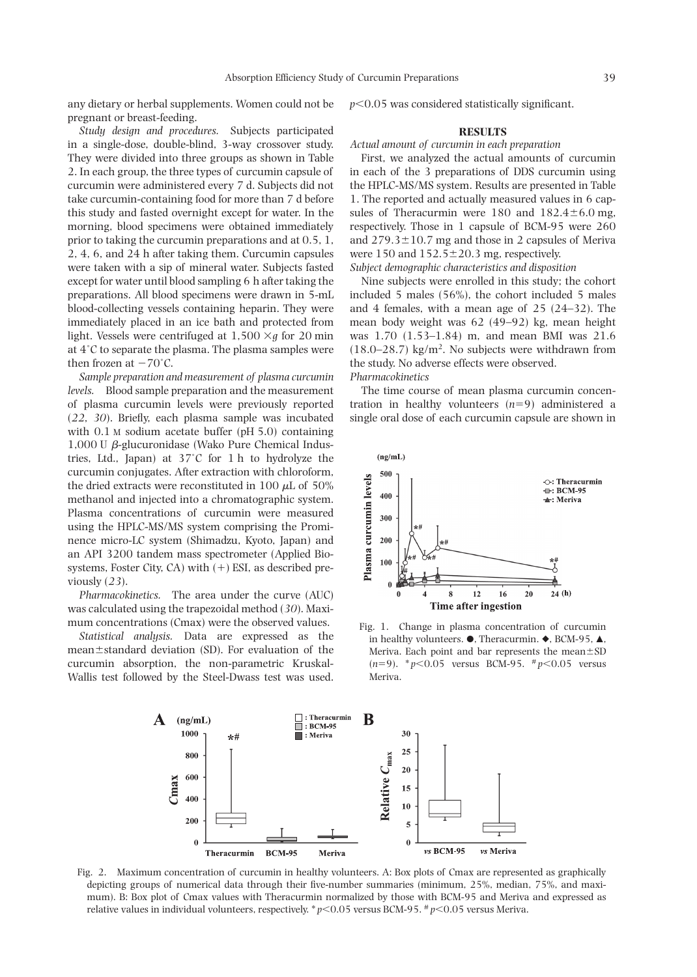any dietary or herbal supplements. Women could not be pregnant or breast-feeding.

*Study design and procedures.* Subjects participated in a single-dose, double-blind, 3-way crossover study. They were divided into three groups as shown in Table 2. In each group, the three types of curcumin capsule of curcumin were administered every 7 d. Subjects did not take curcumin-containing food for more than 7 d before this study and fasted overnight except for water. In the morning, blood specimens were obtained immediately prior to taking the curcumin preparations and at 0.5, 1, 2, 4, 6, and 24 h after taking them. Curcumin capsules were taken with a sip of mineral water. Subjects fasted except for water until blood sampling 6 h after taking the preparations. All blood specimens were drawn in 5-mL blood-collecting vessels containing heparin. They were immediately placed in an ice bath and protected from light. Vessels were centrifuged at  $1,500 \times g$  for 20 min at 4˚C to separate the plasma. The plasma samples were then frozen at  $-70^{\circ}$ C.

*Sample preparation and measurement of plasma curcumin levels.* Blood sample preparation and the measurement of plasma curcumin levels were previously reported (22, 30). Briefly, each plasma sample was incubated with 0.1 M sodium acetate buffer (pH 5.0) containing  $1,000$  U  $\beta$ -glucuronidase (Wako Pure Chemical Industries, Ltd., Japan) at 37˚C for 1 h to hydrolyze the curcumin conjugates. After extraction with chloroform, the dried extracts were reconstituted in 100  $\mu$ L of 50% methanol and injected into a chromatographic system. Plasma concentrations of curcumin were measured using the HPLC-MS/MS system comprising the Prominence micro-LC system (Shimadzu, Kyoto, Japan) and an API 3200 tandem mass spectrometer (Applied Biosystems, Foster City, CA) with  $(+)$  ESI, as described previously (*23*).

*Pharmacokinetics.* The area under the curve (AUC) was calculated using the trapezoidal method (*30*). Maximum concentrations (Cmax) were the observed values.

*Statistical analysis.* Data are expressed as the mean ± standard deviation (SD). For evaluation of the curcumin absorption, the non-parametric Kruskal-Wallis test followed by the Steel-Dwass test was used.

 $p<0.05$  was considered statistically significant.

## **RESULTS**

*Actual amount of curcumin in each preparation*

First, we analyzed the actual amounts of curcumin in each of the 3 preparations of DDS curcumin using the HPLC-MS/MS system. Results are presented in Table 1. The reported and actually measured values in 6 capsules of Theracurmin were  $180$  and  $182.4 \pm 6.0$  mg, respectively. Those in 1 capsule of BCM-95 were 260 and  $279.3 \pm 10.7$  mg and those in 2 capsules of Meriva were  $150$  and  $152.5 \pm 20.3$  mg, respectively.

*Subject demographic characteristics and disposition*

Nine subjects were enrolled in this study; the cohort included 5 males (56%), the cohort included 5 males and 4 females, with a mean age of 25 (24–32). The mean body weight was 62 (49–92) kg, mean height was 1.70 (1.53–1.84) m, and mean BMI was 21.6  $(18.0-28.7)$  kg/m<sup>2</sup>. No subjects were withdrawn from the study. No adverse effects were observed.

## *Pharmacokinetics*

The time course of mean plasma curcumin concentration in healthy volunteers  $(n=9)$  administered a single oral dose of each curcumin capsule are shown in



Fig. 1. Change in plasma concentration of curcumin in healthy volunteers.  $\bullet$ , Theracurmin.  $\bullet$ , BCM-95,  $\blacktriangle$ , Meriva. Each point and bar represents the mean $\pm$ SD  $(n=9)$ . \* *p*<0.05 versus BCM-95. <sup>#</sup> *p*<0.05 versus Meriva.



Fig. 2. Maximum concentration of curcumin in healthy volunteers. A: Box plots of Cmax are represented as graphically depicting groups of numerical data through their five-number summaries (minimum, 25%, median, 75%, and maximum). B: Box plot of Cmax values with Theracurmin normalized by those with BCM-95 and Meriva and expressed as relative values in individual volunteers, respectively. \*  $p<0.05$  versus BCM-95. #  $p<0.05$  versus Meriva.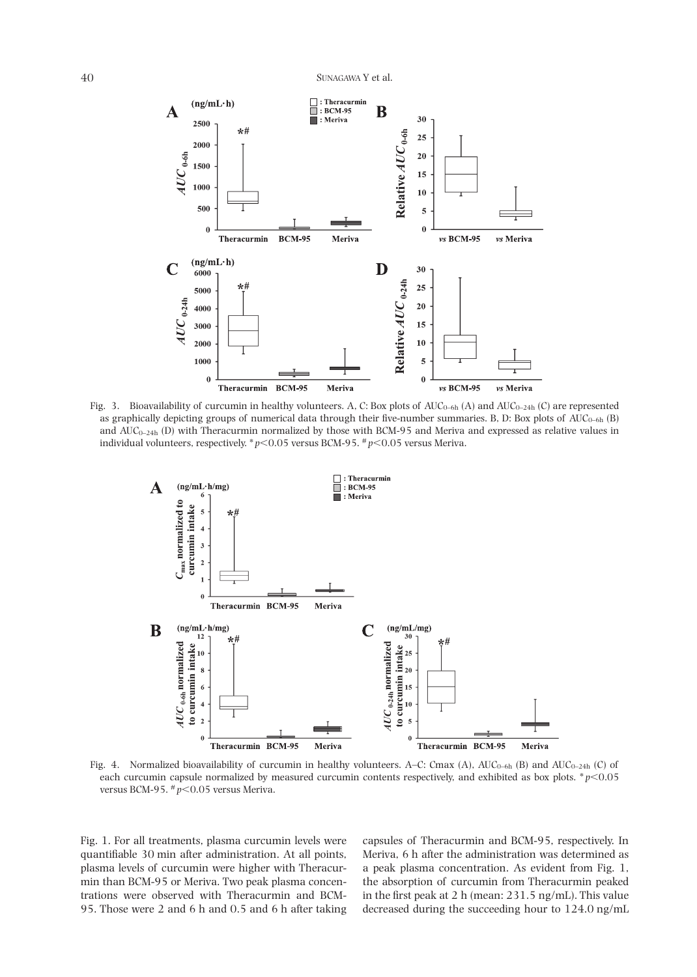40 SUNAGAWA Y et al.



Fig. 3. Bioavailability of curcumin in healthy volunteers. A, C: Box plots of AUC<sub>0–6h</sub> (A) and AUC<sub>0–24h</sub> (C) are represented as graphically depicting groups of numerical data through their five-number summaries. B, D: Box plots of  $AUC_{0-6h}$  (B) and  $AUC_{0-24h}$  (D) with Theracurmin normalized by those with BCM-95 and Meriva and expressed as relative values in individual volunteers, respectively.  $p<0.05$  versus BCM-95.  $\#p<0.05$  versus Meriva.



Fig. 4. Normalized bioavailability of curcumin in healthy volunteers. A–C: Cmax (A), AUC<sub>0–6h</sub> (B) and AUC<sub>0–24h</sub> (C) of each curcumin capsule normalized by measured curcumin contents respectively, and exhibited as box plots.  $\frac{*}{p}$  < 0.05 versus BCM-95. #  $p$ <0.05 versus Meriva.

Fig. 1. For all treatments, plasma curcumin levels were quantifiable 30 min after administration. At all points, plasma levels of curcumin were higher with Theracurmin than BCM-95 or Meriva. Two peak plasma concentrations were observed with Theracurmin and BCM-95. Those were 2 and 6 h and 0.5 and 6 h after taking

capsules of Theracurmin and BCM-95, respectively. In Meriva, 6 h after the administration was determined as a peak plasma concentration. As evident from Fig. 1, the absorption of curcumin from Theracurmin peaked in the first peak at 2 h (mean:  $231.5$  ng/mL). This value decreased during the succeeding hour to 124.0 ng/mL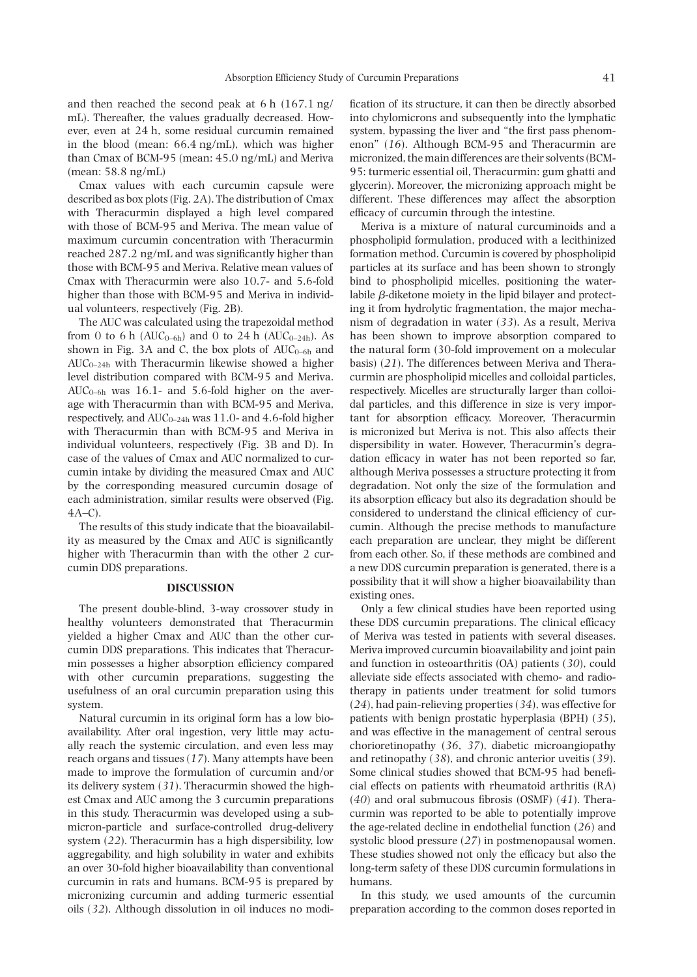and then reached the second peak at 6 h (167.1 ng/ mL). Thereafter, the values gradually decreased. However, even at 24 h, some residual curcumin remained in the blood (mean: 66.4 ng/mL), which was higher than Cmax of BCM-95 (mean: 45.0 ng/mL) and Meriva (mean: 58.8 ng/mL)

Cmax values with each curcumin capsule were described as box plots (Fig. 2A). The distribution of Cmax with Theracurmin displayed a high level compared with those of BCM-95 and Meriva. The mean value of maximum curcumin concentration with Theracurmin reached  $287.2$  ng/mL and was significantly higher than those with BCM-95 and Meriva. Relative mean values of Cmax with Theracurmin were also 10.7- and 5.6-fold higher than those with BCM-95 and Meriva in individual volunteers, respectively (Fig. 2B).

The AUC was calculated using the trapezoidal method from 0 to 6 h ( $AUC_{0-6h}$ ) and 0 to 24 h ( $AUC_{0-24h}$ ). As shown in Fig. 3A and C, the box plots of  $AUC_{0-6h}$  and  $AUC_{0-24h}$  with Theracurmin likewise showed a higher level distribution compared with BCM-95 and Meriva.  $AUC_{0-6h}$  was 16.1- and 5.6-fold higher on the average with Theracurmin than with BCM-95 and Meriva, respectively, and  $AUC_{0-24h}$  was 11.0- and 4.6-fold higher with Theracurmin than with BCM-95 and Meriva in individual volunteers, respectively (Fig. 3B and D). In case of the values of Cmax and AUC normalized to curcumin intake by dividing the measured Cmax and AUC by the corresponding measured curcumin dosage of each administration, similar results were observed (Fig. 4A–C).

The results of this study indicate that the bioavailability as measured by the Cmax and AUC is significantly higher with Theracurmin than with the other 2 curcumin DDS preparations.

## **DISCUSSION**

The present double-blind, 3-way crossover study in healthy volunteers demonstrated that Theracurmin yielded a higher Cmax and AUC than the other curcumin DDS preparations. This indicates that Theracurmin possesses a higher absorption efficiency compared with other curcumin preparations, suggesting the usefulness of an oral curcumin preparation using this system.

Natural curcumin in its original form has a low bioavailability. After oral ingestion, very little may actually reach the systemic circulation, and even less may reach organs and tissues (*17*). Many attempts have been made to improve the formulation of curcumin and/or its delivery system (*31*). Theracurmin showed the highest Cmax and AUC among the 3 curcumin preparations in this study. Theracurmin was developed using a submicron-particle and surface-controlled drug-delivery system (*22*). Theracurmin has a high dispersibility, low aggregability, and high solubility in water and exhibits an over 30-fold higher bioavailability than conventional curcumin in rats and humans. BCM-95 is prepared by micronizing curcumin and adding turmeric essential oils (*32*). Although dissolution in oil induces no modification of its structure, it can then be directly absorbed into chylomicrons and subsequently into the lymphatic system, bypassing the liver and "the first pass phenomenon" (*16*). Although BCM-95 and Theracurmin are micronized, the main differences are their solvents (BCM-95: turmeric essential oil, Theracurmin: gum ghatti and glycerin). Moreover, the micronizing approach might be different. These differences may affect the absorption efficacy of curcumin through the intestine.

Meriva is a mixture of natural curcuminoids and a phospholipid formulation, produced with a lecithinized formation method. Curcumin is covered by phospholipid particles at its surface and has been shown to strongly bind to phospholipid micelles, positioning the waterlabile  $\beta$ -diketone moiety in the lipid bilayer and protecting it from hydrolytic fragmentation, the major mechanism of degradation in water (*33*). As a result, Meriva has been shown to improve absorption compared to the natural form (30-fold improvement on a molecular basis) (*21*). The differences between Meriva and Theracurmin are phospholipid micelles and colloidal particles, respectively. Micelles are structurally larger than colloidal particles, and this difference in size is very important for absorption efficacy. Moreover, Theracurmin is micronized but Meriva is not. This also affects their dispersibility in water. However, Theracurmin's degradation efficacy in water has not been reported so far, although Meriva possesses a structure protecting it from degradation. Not only the size of the formulation and its absorption efficacy but also its degradation should be considered to understand the clinical efficiency of curcumin. Although the precise methods to manufacture each preparation are unclear, they might be different from each other. So, if these methods are combined and a new DDS curcumin preparation is generated, there is a possibility that it will show a higher bioavailability than existing ones.

Only a few clinical studies have been reported using these DDS curcumin preparations. The clinical efficacy of Meriva was tested in patients with several diseases. Meriva improved curcumin bioavailability and joint pain and function in osteoarthritis (OA) patients (*30*), could alleviate side effects associated with chemo- and radiotherapy in patients under treatment for solid tumors (*24*), had pain-relieving properties (*34*), was effective for patients with benign prostatic hyperplasia (BPH) (*35*), and was effective in the management of central serous chorioretinopathy (*36*, *37*), diabetic microangiopathy and retinopathy (*38*), and chronic anterior uveitis (*39*). Some clinical studies showed that BCM-95 had beneficial effects on patients with rheumatoid arthritis (RA)  $(40)$  and oral submucous fibrosis  $(OSMF)$   $(41)$ . Theracurmin was reported to be able to potentially improve the age-related decline in endothelial function (*26*) and systolic blood pressure (*27*) in postmenopausal women. These studies showed not only the efficacy but also the long-term safety of these DDS curcumin formulations in humans.

In this study, we used amounts of the curcumin preparation according to the common doses reported in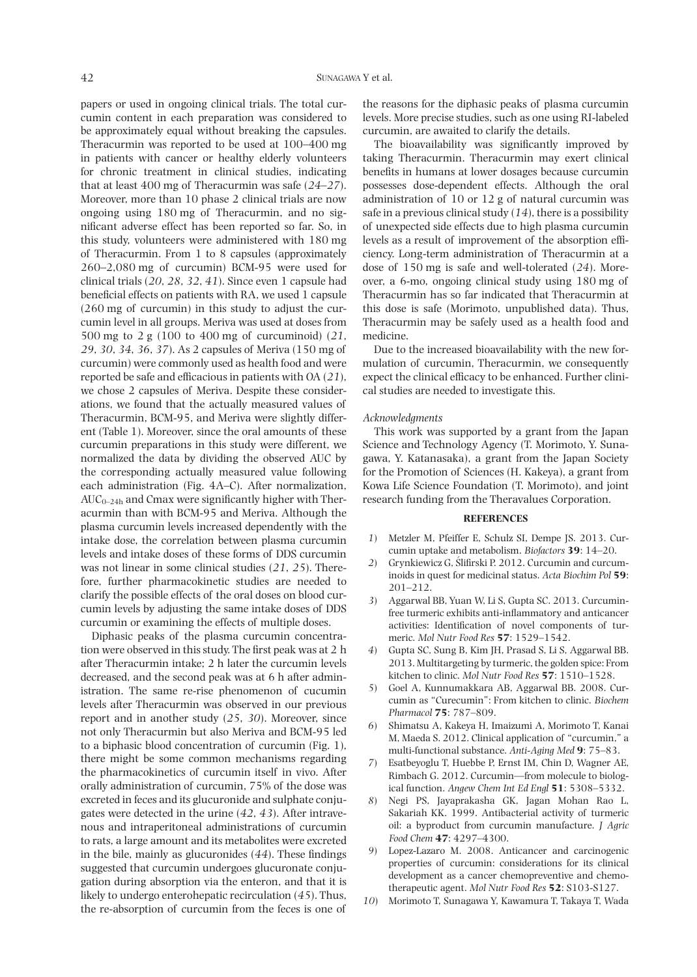papers or used in ongoing clinical trials. The total curcumin content in each preparation was considered to be approximately equal without breaking the capsules. Theracurmin was reported to be used at 100–400 mg in patients with cancer or healthy elderly volunteers for chronic treatment in clinical studies, indicating that at least 400 mg of Theracurmin was safe (*24*–*27*). Moreover, more than 10 phase 2 clinical trials are now ongoing using 180 mg of Theracurmin, and no significant adverse effect has been reported so far. So, in this study, volunteers were administered with 180 mg of Theracurmin. From 1 to 8 capsules (approximately 260–2,080 mg of curcumin) BCM-95 were used for clinical trials (*20*, *28*, *32*, *41*). Since even 1 capsule had beneficial effects on patients with RA, we used 1 capsule (260 mg of curcumin) in this study to adjust the curcumin level in all groups. Meriva was used at doses from 500 mg to 2 g (100 to 400 mg of curcuminoid) (*21*, *29*, *30*, *34*, *36*, *37*). As 2 capsules of Meriva (150 mg of curcumin) were commonly used as health food and were reported be safe and efficacious in patients with OA (21), we chose 2 capsules of Meriva. Despite these considerations, we found that the actually measured values of Theracurmin, BCM-95, and Meriva were slightly different (Table 1). Moreover, since the oral amounts of these curcumin preparations in this study were different, we normalized the data by dividing the observed AUC by the corresponding actually measured value following each administration (Fig. 4A–C). After normalization,  $AUC_{0-24h}$  and Cmax were significantly higher with Theracurmin than with BCM-95 and Meriva. Although the plasma curcumin levels increased dependently with the intake dose, the correlation between plasma curcumin levels and intake doses of these forms of DDS curcumin was not linear in some clinical studies (*21*, *25*). Therefore, further pharmacokinetic studies are needed to clarify the possible effects of the oral doses on blood curcumin levels by adjusting the same intake doses of DDS curcumin or examining the effects of multiple doses.

Diphasic peaks of the plasma curcumin concentration were observed in this study. The first peak was at 2 h after Theracurmin intake; 2 h later the curcumin levels decreased, and the second peak was at 6 h after administration. The same re-rise phenomenon of cucumin levels after Theracurmin was observed in our previous report and in another study (*25*, *30*). Moreover, since not only Theracurmin but also Meriva and BCM-95 led to a biphasic blood concentration of curcumin (Fig. 1), there might be some common mechanisms regarding the pharmacokinetics of curcumin itself in vivo. After orally administration of curcumin, 75% of the dose was excreted in feces and its glucuronide and sulphate conjugates were detected in the urine (*42*, *43*). After intravenous and intraperitoneal administrations of curcumin to rats, a large amount and its metabolites were excreted in the bile, mainly as glucuronides (44). These findings suggested that curcumin undergoes glucuronate conjugation during absorption via the enteron, and that it is likely to undergo enterohepatic recirculation (*45*). Thus, the re-absorption of curcumin from the feces is one of

the reasons for the diphasic peaks of plasma curcumin levels. More precise studies, such as one using RI-labeled curcumin, are awaited to clarify the details.

The bioavailability was significantly improved by taking Theracurmin. Theracurmin may exert clinical benefits in humans at lower dosages because curcumin possesses dose-dependent effects. Although the oral administration of 10 or 12 g of natural curcumin was safe in a previous clinical study (*14*), there is a possibility of unexpected side effects due to high plasma curcumin levels as a result of improvement of the absorption efficiency. Long-term administration of Theracurmin at a dose of 150 mg is safe and well-tolerated (*24*). Moreover, a 6-mo, ongoing clinical study using 180 mg of Theracurmin has so far indicated that Theracurmin at this dose is safe (Morimoto, unpublished data). Thus, Theracurmin may be safely used as a health food and medicine.

Due to the increased bioavailability with the new formulation of curcumin, Theracurmin, we consequently expect the clinical efficacy to be enhanced. Further clinical studies are needed to investigate this.

### *Acknowledgments*

This work was supported by a grant from the Japan Science and Technology Agency (T. Morimoto, Y. Sunagawa, Y. Katanasaka), a grant from the Japan Society for the Promotion of Sciences (H. Kakeya), a grant from Kowa Life Science Foundation (T. Morimoto), and joint research funding from the Theravalues Corporation*.*

### **REFERENCES**

- *1*) Metzler M, Pfeiffer E, Schulz SI, Dempe JS. 2013. Curcumin uptake and metabolism. *Biofactors* **39**: 14–20.
- 2) Grynkiewicz G, Ślifirski P. 2012. Curcumin and curcuminoids in quest for medicinal status. *Acta Biochim Pol* **59**: 201–212.
- *3*) Aggarwal BB, Yuan W, Li S, Gupta SC. 2013. Curcuminfree turmeric exhibits anti-inflammatory and anticancer activities: Identification of novel components of turmeric. *Mol Nutr Food Res* **57**: 1529–1542.
- *4*) Gupta SC, Sung B, Kim JH, Prasad S, Li S, Aggarwal BB. 2013. Multitargeting by turmeric, the golden spice: From kitchen to clinic. *Mol Nutr Food Res* **57**: 1510–1528.
- *5*) Goel A, Kunnumakkara AB, Aggarwal BB. 2008. Curcumin as "Curecumin": From kitchen to clinic. *Biochem Pharmacol* **75**: 787–809.
- *6*) Shimatsu A, Kakeya H, Imaizumi A, Morimoto T, Kanai M, Maeda S. 2012. Clinical application of "curcumin," a multi-functional substance. *Anti-Aging Med* **9**: 75–83.
- *7*) Esatbeyoglu T, Huebbe P, Ernst IM, Chin D, Wagner AE, Rimbach G. 2012. Curcumin—from molecule to biological function. *Angew Chem Int Ed Engl* **51**: 5308–5332.
- *8*) Negi PS, Jayaprakasha GK, Jagan Mohan Rao L, Sakariah KK. 1999. Antibacterial activity of turmeric oil: a byproduct from curcumin manufacture. *J Agric Food Chem* **47**: 4297–4300.
- *9*) Lopez-Lazaro M. 2008. Anticancer and carcinogenic properties of curcumin: considerations for its clinical development as a cancer chemopreventive and chemotherapeutic agent. *Mol Nutr Food Res* **52**: S103-S127.
- *10*) Morimoto T, Sunagawa Y, Kawamura T, Takaya T, Wada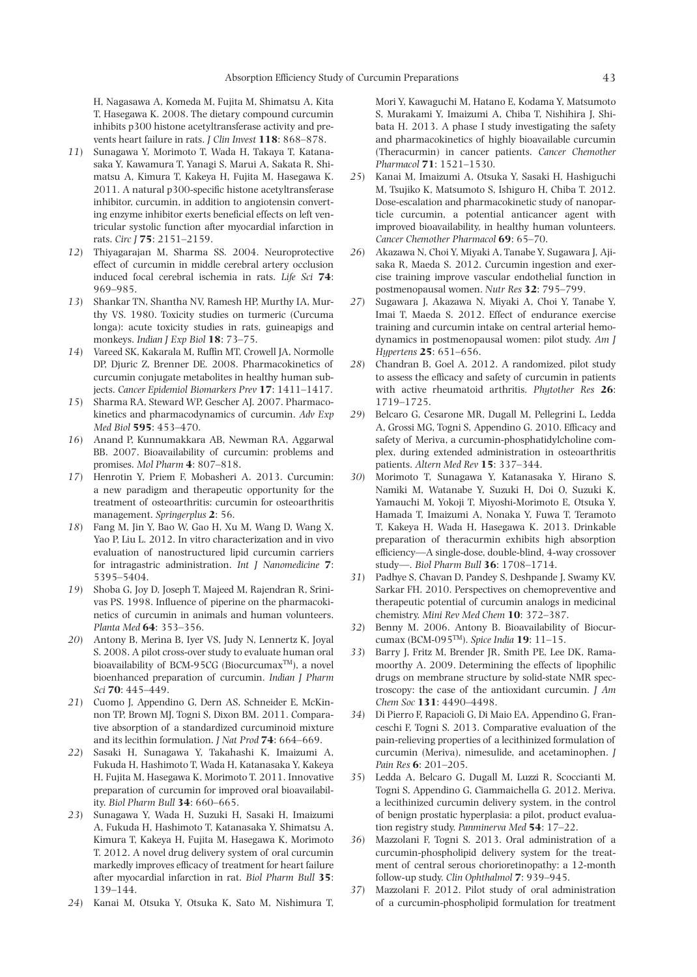H, Nagasawa A, Komeda M, Fujita M, Shimatsu A, Kita T, Hasegawa K. 2008. The dietary compound curcumin inhibits p300 histone acetyltransferase activity and prevents heart failure in rats. *J Clin Invest* **118**: 868–878.

- *11*) Sunagawa Y, Morimoto T, Wada H, Takaya T, Katanasaka Y, Kawamura T, Yanagi S, Marui A, Sakata R, Shimatsu A, Kimura T, Kakeya H, Fujita M, Hasegawa K. 2011. A natural p300-specific histone acetyltransferase inhibitor, curcumin, in addition to angiotensin converting enzyme inhibitor exerts beneficial effects on left ventricular systolic function after myocardial infarction in rats. *Circ J* **75**: 2151–2159.
- *12*) Thiyagarajan M, Sharma SS. 2004. Neuroprotective effect of curcumin in middle cerebral artery occlusion induced focal cerebral ischemia in rats. *Life Sci* **74**: 969–985.
- *13*) Shankar TN, Shantha NV, Ramesh HP, Murthy IA, Murthy VS. 1980. Toxicity studies on turmeric (Curcuma longa): acute toxicity studies in rats, guineapigs and monkeys. *Indian J Exp Biol* **18**: 73–75.
- 14) Vareed SK, Kakarala M, Ruffin MT, Crowell JA, Normolle DP, Djuric Z, Brenner DE. 2008. Pharmacokinetics of curcumin conjugate metabolites in healthy human subjects. *Cancer Epidemiol Biomarkers Prev* **17**: 1411–1417.
- *15*) Sharma RA, Steward WP, Gescher AJ. 2007. Pharmacokinetics and pharmacodynamics of curcumin. *Adv Exp Med Biol* **595**: 453–470.
- *16*) Anand P, Kunnumakkara AB, Newman RA, Aggarwal BB. 2007. Bioavailability of curcumin: problems and promises. *Mol Pharm* **4**: 807–818.
- *17*) Henrotin Y, Priem F, Mobasheri A. 2013. Curcumin: a new paradigm and therapeutic opportunity for the treatment of osteoarthritis: curcumin for osteoarthritis management. *Springerplus* **2**: 56.
- *18*) Fang M, Jin Y, Bao W, Gao H, Xu M, Wang D, Wang X, Yao P, Liu L. 2012. In vitro characterization and in vivo evaluation of nanostructured lipid curcumin carriers for intragastric administration. *Int J Nanomedicine* **7**: 5395–5404.
- *19*) Shoba G, Joy D, Joseph T, Majeed M, Rajendran R, Srinivas PS. 1998. Influence of piperine on the pharmacokinetics of curcumin in animals and human volunteers. *Planta Med* **64**: 353–356.
- *20*) Antony B, Merina B, Iyer VS, Judy N, Lennertz K, Joyal S. 2008. A pilot cross-over study to evaluate human oral bioavailability of BCM-95CG (Biocurcumax<sup>TM</sup>), a novel bioenhanced preparation of curcumin. *Indian J Pharm Sci* **70**: 445–449.
- *21*) Cuomo J, Appendino G, Dern AS, Schneider E, McKinnon TP, Brown MJ, Togni S, Dixon BM. 2011. Comparative absorption of a standardized curcuminoid mixture and its lecithin formulation. *J Nat Prod* **74**: 664–669.
- *22*) Sasaki H, Sunagawa Y, Takahashi K, Imaizumi A, Fukuda H, Hashimoto T, Wada H, Katanasaka Y, Kakeya H, Fujita M, Hasegawa K, Morimoto T. 2011. Innovative preparation of curcumin for improved oral bioavailability. *Biol Pharm Bull* **34**: 660–665.
- *23*) Sunagawa Y, Wada H, Suzuki H, Sasaki H, Imaizumi A, Fukuda H, Hashimoto T, Katanasaka Y, Shimatsu A, Kimura T, Kakeya H, Fujita M, Hasegawa K, Morimoto T. 2012. A novel drug delivery system of oral curcumin markedly improves efficacy of treatment for heart failure after myocardial infarction in rat. *Biol Pharm Bull* **35**: 139–144.
- *24*) Kanai M, Otsuka Y, Otsuka K, Sato M, Nishimura T,

Mori Y, Kawaguchi M, Hatano E, Kodama Y, Matsumoto S, Murakami Y, Imaizumi A, Chiba T, Nishihira J, Shibata H. 2013. A phase I study investigating the safety and pharmacokinetics of highly bioavailable curcumin (Theracurmin) in cancer patients. *Cancer Chemother Pharmacol* **71**: 1521–1530.

- *25*) Kanai M, Imaizumi A, Otsuka Y, Sasaki H, Hashiguchi M, Tsujiko K, Matsumoto S, Ishiguro H, Chiba T. 2012. Dose-escalation and pharmacokinetic study of nanoparticle curcumin, a potential anticancer agent with improved bioavailability, in healthy human volunteers. *Cancer Chemother Pharmacol* **69**: 65–70.
- *26*) Akazawa N, Choi Y, Miyaki A, Tanabe Y, Sugawara J, Ajisaka R, Maeda S. 2012. Curcumin ingestion and exercise training improve vascular endothelial function in postmenopausal women. *Nutr Res* **32**: 795–799.
- *27*) Sugawara J, Akazawa N, Miyaki A, Choi Y, Tanabe Y, Imai T, Maeda S. 2012. Effect of endurance exercise training and curcumin intake on central arterial hemodynamics in postmenopausal women: pilot study. *Am J Hypertens* **25**: 651–656.
- *28*) Chandran B, Goel A. 2012. A randomized, pilot study to assess the efficacy and safety of curcumin in patients with active rheumatoid arthritis. *Phytother Res* **26**: 1719–1725.
- *29*) Belcaro G, Cesarone MR, Dugall M, Pellegrini L, Ledda A, Grossi MG, Togni S, Appendino G. 2010. Efficacy and safety of Meriva, a curcumin-phosphatidylcholine complex, during extended administration in osteoarthritis patients. *Altern Med Rev* **15**: 337–344.
- *30*) Morimoto T, Sunagawa Y, Katanasaka Y, Hirano S, Namiki M, Watanabe Y, Suzuki H, Doi O, Suzuki K, Yamauchi M, Yokoji T, Miyoshi-Morimoto E, Otsuka Y, Hamada T, Imaizumi A, Nonaka Y, Fuwa T, Teramoto T, Kakeya H, Wada H, Hasegawa K. 2013. Drinkable preparation of theracurmin exhibits high absorption efficiency—A single-dose, double-blind, 4-way crossover study—. *Biol Pharm Bull* **36**: 1708–1714.
- *31*) Padhye S, Chavan D, Pandey S, Deshpande J, Swamy KV, Sarkar FH. 2010. Perspectives on chemopreventive and therapeutic potential of curcumin analogs in medicinal chemistry. *Mini Rev Med Chem* **10**: 372–387.
- *32*) Benny M. 2006. Antony B. Bioavailability of Biocurcumax (BCM-095TM). *Spice India* **19**: 11–15.
- *33*) Barry J, Fritz M, Brender JR, Smith PE, Lee DK, Ramamoorthy A. 2009. Determining the effects of lipophilic drugs on membrane structure by solid-state NMR spectroscopy: the case of the antioxidant curcumin. *J Am Chem Soc* **131**: 4490–4498.
- *34*) Di Pierro F, Rapacioli G, Di Maio EA, Appendino G, Franceschi F, Togni S. 2013. Comparative evaluation of the pain-relieving properties of a lecithinized formulation of curcumin (Meriva), nimesulide, and acetaminophen. *J Pain Res* **6**: 201–205.
- *35*) Ledda A, Belcaro G, Dugall M, Luzzi R, Scoccianti M, Togni S, Appendino G, Ciammaichella G. 2012. Meriva, a lecithinized curcumin delivery system, in the control of benign prostatic hyperplasia: a pilot, product evaluation registry study. *Panminerva Med* **54**: 17–22.
- *36*) Mazzolani F, Togni S. 2013. Oral administration of a curcumin-phospholipid delivery system for the treatment of central serous chorioretinopathy: a 12-month follow-up study. *Clin Ophthalmol* **7**: 939–945.
- *37*) Mazzolani F. 2012. Pilot study of oral administration of a curcumin-phospholipid formulation for treatment